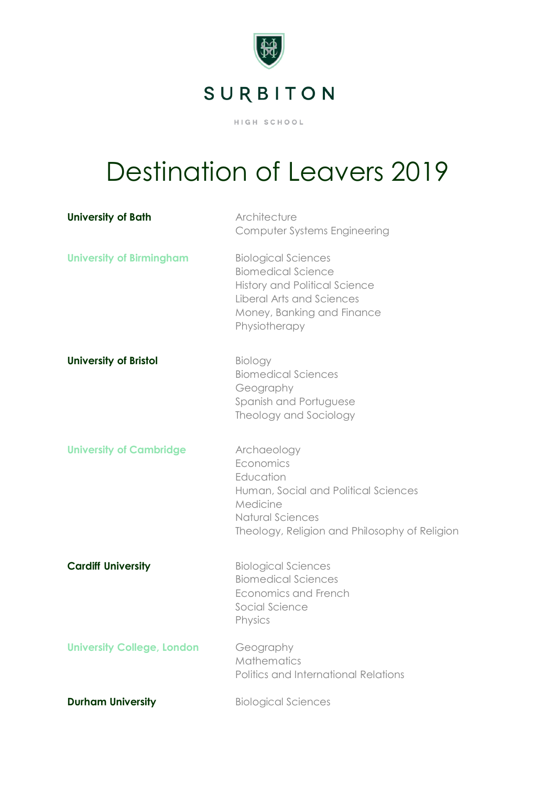

## Destination of Leavers 2019

| <b>University of Bath</b>         | Architecture<br>Computer Systems Engineering                                                                                                                                |
|-----------------------------------|-----------------------------------------------------------------------------------------------------------------------------------------------------------------------------|
| <b>University of Birmingham</b>   | <b>Biological Sciences</b><br><b>Biomedical Science</b><br><b>History and Political Science</b><br>Liberal Arts and Sciences<br>Money, Banking and Finance<br>Physiotherapy |
| <b>University of Bristol</b>      | <b>Biology</b><br><b>Biomedical Sciences</b><br>Geography<br>Spanish and Portuguese<br>Theology and Sociology                                                               |
| <b>University of Cambridge</b>    | Archaeology<br>Economics<br>Education<br>Human, Social and Political Sciences<br>Medicine<br>Natural Sciences<br>Theology, Religion and Philosophy of Religion              |
| <b>Cardiff University</b>         | <b>Biological Sciences</b><br><b>Biomedical Sciences</b><br>Economics and French<br>Social Science<br>Physics                                                               |
| <b>University College, London</b> | Geography<br>Mathematics<br>Politics and International Relations                                                                                                            |
| <b>Durham University</b>          | <b>Biological Sciences</b>                                                                                                                                                  |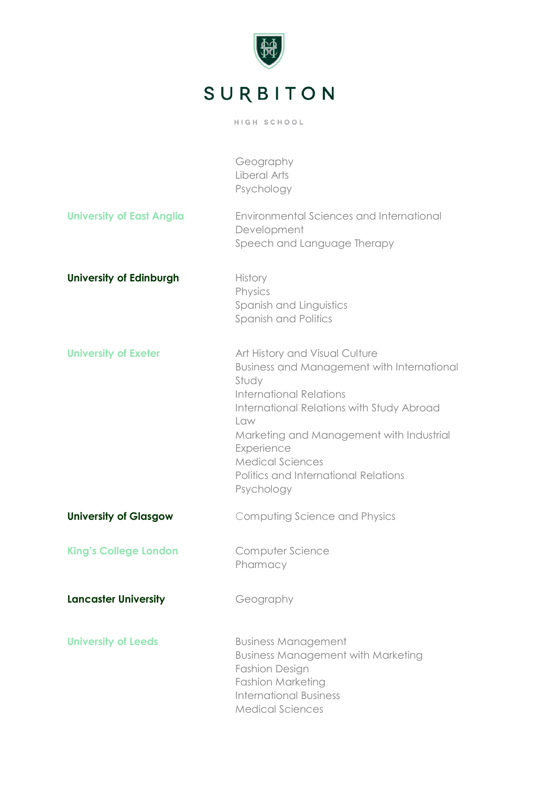

|                                  | Geography<br>Liberal Arts<br>Psychology                                                                                                                                                                                                                                                                                |
|----------------------------------|------------------------------------------------------------------------------------------------------------------------------------------------------------------------------------------------------------------------------------------------------------------------------------------------------------------------|
| <b>University of East Anglia</b> | Environmental Sciences and International<br>Development<br>Speech and Language Therapy                                                                                                                                                                                                                                 |
| <b>University of Edinburgh</b>   | <b>History</b><br>Physics<br>Spanish and Linguistics<br>Spanish and Politics                                                                                                                                                                                                                                           |
| <b>University of Exeter</b>      | Art History and Visual Culture<br>Business and Management with International<br>Study<br><b>International Relations</b><br>International Relations with Study Abroad<br>Law<br>Marketing and Management with Industrial<br>Experience<br><b>Medical Sciences</b><br>Politics and International Relations<br>Psychology |
| <b>University of Glasgow</b>     | Computing Science and Physics                                                                                                                                                                                                                                                                                          |
| <b>King's College London</b>     | Computer Science<br>Pharmacy                                                                                                                                                                                                                                                                                           |
| <b>Lancaster University</b>      | Geography                                                                                                                                                                                                                                                                                                              |
| <b>University of Leeds</b>       | <b>Business Management</b><br><b>Business Management with Marketing</b><br><b>Fashion Design</b><br>Fashion Marketing<br><b>International Business</b><br><b>Medical Sciences</b>                                                                                                                                      |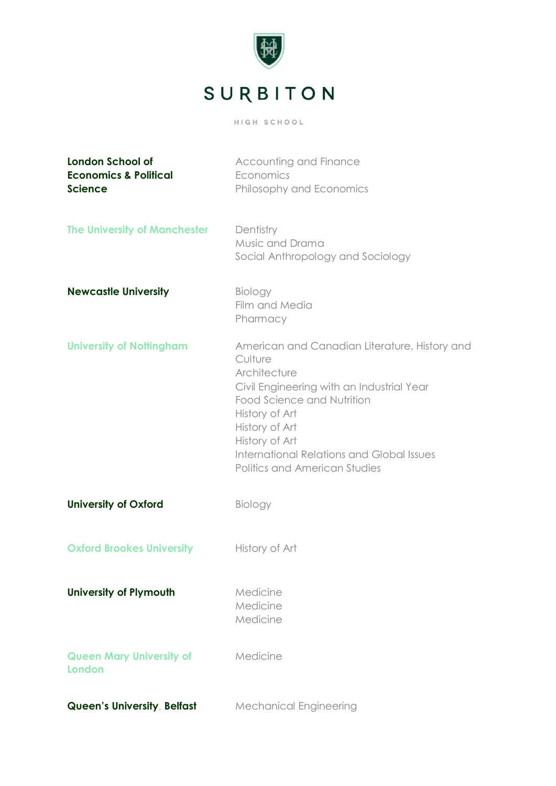

| <b>London School of</b><br><b>Economics &amp; Political</b><br><b>Science</b> | Accounting and Finance<br>Economics<br>Philosophy and Economics                                                                                                                                                                                                                                |
|-------------------------------------------------------------------------------|------------------------------------------------------------------------------------------------------------------------------------------------------------------------------------------------------------------------------------------------------------------------------------------------|
| <b>The University of Manchester</b>                                           | Dentistry<br>Music and Drama<br>Social Anthropology and Sociology                                                                                                                                                                                                                              |
| <b>Newcastle University</b>                                                   | Biology<br>Film and Media<br>Pharmacy                                                                                                                                                                                                                                                          |
| <b>University of Nottingham</b>                                               | American and Canadian Literature, History and<br>Culture<br>Architecture<br>Civil Engineering with an Industrial Year<br>Food Science and Nutrition<br>History of Art<br>History of Art<br>History of Art<br><b>International Relations and Global Issues</b><br>Politics and American Studies |
| <b>University of Oxford</b>                                                   | Biology                                                                                                                                                                                                                                                                                        |
| <b>Oxford Brookes University</b>                                              | History of Art                                                                                                                                                                                                                                                                                 |
| <b>University of Plymouth</b>                                                 | Medicine<br>Medicine<br>Medicine                                                                                                                                                                                                                                                               |
| <b>Queen Mary University of</b><br>London                                     | Medicine                                                                                                                                                                                                                                                                                       |
| Queen's University, Belfast                                                   | <b>Mechanical Engineering</b>                                                                                                                                                                                                                                                                  |